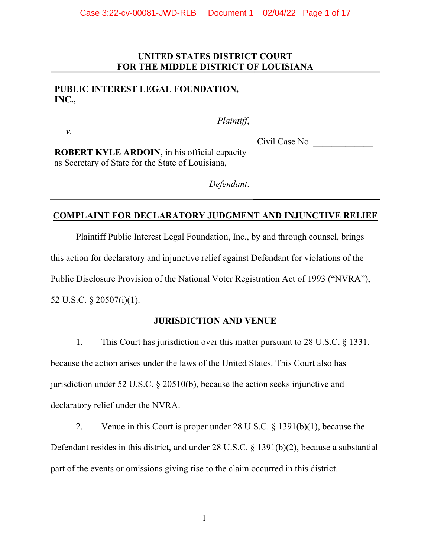### UNITED STATES DISTRICT COURT FOR THE MIDDLE DISTRICT OF LOUISIANA

| PUBLIC INTEREST LEGAL FOUNDATION,<br>INC.,                                                               |                |
|----------------------------------------------------------------------------------------------------------|----------------|
| Plaintiff,<br>ν.                                                                                         | Civil Case No. |
| <b>ROBERT KYLE ARDOIN, in his official capacity</b><br>as Secretary of State for the State of Louisiana, |                |
| Defendant.                                                                                               |                |

## COMPLAINT FOR DECLARATORY JUDGMENT AND INJUNCTIVE RELIEF

Plaintiff Public Interest Legal Foundation, Inc., by and through counsel, brings this action for declaratory and injunctive relief against Defendant for violations of the Public Disclosure Provision of the National Voter Registration Act of 1993 ("NVRA"), 52 U.S.C. § 20507(i)(1).

### JURISDICTION AND VENUE

1. This Court has jurisdiction over this matter pursuant to 28 U.S.C. § 1331, because the action arises under the laws of the United States. This Court also has jurisdiction under 52 U.S.C. § 20510(b), because the action seeks injunctive and declaratory relief under the NVRA.

2. Venue in this Court is proper under 28 U.S.C. § 1391(b)(1), because the Defendant resides in this district, and under 28 U.S.C. § 1391(b)(2), because a substantial part of the events or omissions giving rise to the claim occurred in this district.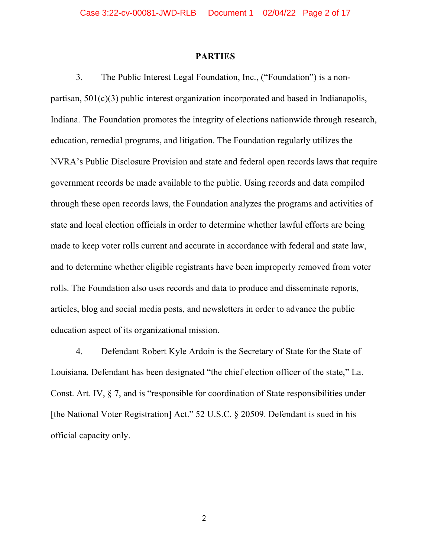#### **PARTIES**

3. The Public Interest Legal Foundation, Inc., ("Foundation") is a nonpartisan, 501(c)(3) public interest organization incorporated and based in Indianapolis, Indiana. The Foundation promotes the integrity of elections nationwide through research, education, remedial programs, and litigation. The Foundation regularly utilizes the NVRA's Public Disclosure Provision and state and federal open records laws that require government records be made available to the public. Using records and data compiled through these open records laws, the Foundation analyzes the programs and activities of state and local election officials in order to determine whether lawful efforts are being made to keep voter rolls current and accurate in accordance with federal and state law, and to determine whether eligible registrants have been improperly removed from voter rolls. The Foundation also uses records and data to produce and disseminate reports, articles, blog and social media posts, and newsletters in order to advance the public education aspect of its organizational mission.

4. Defendant Robert Kyle Ardoin is the Secretary of State for the State of Louisiana. Defendant has been designated "the chief election officer of the state," La. Const. Art. IV, § 7, and is "responsible for coordination of State responsibilities under [the National Voter Registration] Act." 52 U.S.C. § 20509. Defendant is sued in his official capacity only.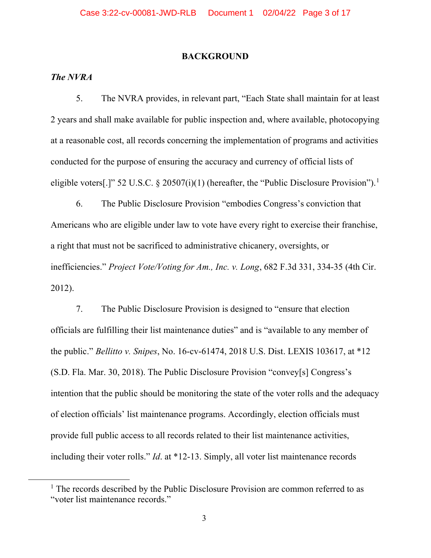#### BACKGROUND

#### The NVRA

5. The NVRA provides, in relevant part, "Each State shall maintain for at least 2 years and shall make available for public inspection and, where available, photocopying at a reasonable cost, all records concerning the implementation of programs and activities conducted for the purpose of ensuring the accuracy and currency of official lists of eligible voters[.]" 52 U.S.C. § 20507(i)(1) (hereafter, the "Public Disclosure Provision").<sup>1</sup>

6. The Public Disclosure Provision "embodies Congress's conviction that Americans who are eligible under law to vote have every right to exercise their franchise, a right that must not be sacrificed to administrative chicanery, oversights, or inefficiencies." Project Vote/Voting for Am., Inc. v. Long, 682 F.3d 331, 334-35 (4th Cir. 2012).

7. The Public Disclosure Provision is designed to "ensure that election officials are fulfilling their list maintenance duties" and is "available to any member of the public." Bellitto v. Snipes, No. 16-cv-61474, 2018 U.S. Dist. LEXIS 103617, at \*12 (S.D. Fla. Mar. 30, 2018). The Public Disclosure Provision "convey[s] Congress's intention that the public should be monitoring the state of the voter rolls and the adequacy of election officials' list maintenance programs. Accordingly, election officials must provide full public access to all records related to their list maintenance activities, including their voter rolls." *Id.* at \*12-13. Simply, all voter list maintenance records

<sup>&</sup>lt;sup>1</sup> The records described by the Public Disclosure Provision are common referred to as "voter list maintenance records."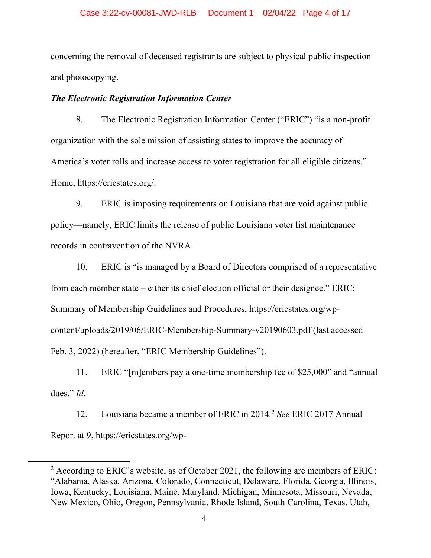concerning the removal of deceased registrants are subject to physical public inspection and photocopying.

#### The Electronic Registration Information Center

8. The Electronic Registration Information Center ("ERIC") "is a non-profit organization with the sole mission of assisting states to improve the accuracy of America's voter rolls and increase access to voter registration for all eligible citizens." Home, https://ericstates.org/.

9. ERIC is imposing requirements on Louisiana that are void against public policy—namely, ERIC limits the release of public Louisiana voter list maintenance records in contravention of the NVRA.

10. ERIC is "is managed by a Board of Directors comprised of a representative from each member state – either its chief election official or their designee." ERIC: Summary of Membership Guidelines and Procedures, https://ericstates.org/wpcontent/uploads/2019/06/ERIC-Membership-Summary-v20190603.pdf (last accessed Feb. 3, 2022) (hereafter, "ERIC Membership Guidelines").

11. ERIC "[m]embers pay a one-time membership fee of \$25,000" and "annual dues." Id.

12. Louisiana became a member of ERIC in 2014.<sup>2</sup> See ERIC 2017 Annual Report at 9, https://ericstates.org/wp-

 $2$  According to ERIC's website, as of October 2021, the following are members of ERIC: "Alabama, Alaska, Arizona, Colorado, Connecticut, Delaware, Florida, Georgia, Illinois, Iowa, Kentucky, Louisiana, Maine, Maryland, Michigan, Minnesota, Missouri, Nevada, New Mexico, Ohio, Oregon, Pennsylvania, Rhode Island, South Carolina, Texas, Utah,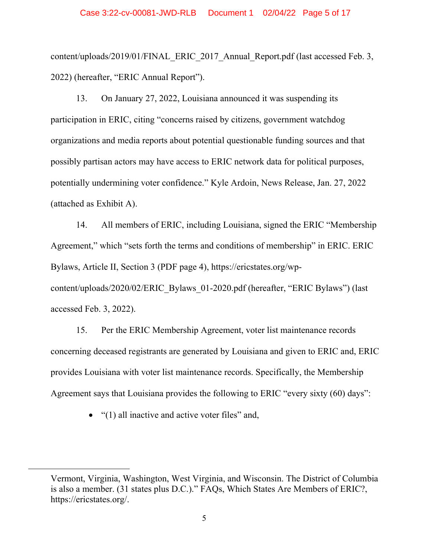content/uploads/2019/01/FINAL\_ERIC\_2017\_Annual\_Report.pdf (last accessed Feb. 3, 2022) (hereafter, "ERIC Annual Report").

13. On January 27, 2022, Louisiana announced it was suspending its participation in ERIC, citing "concerns raised by citizens, government watchdog organizations and media reports about potential questionable funding sources and that possibly partisan actors may have access to ERIC network data for political purposes, potentially undermining voter confidence." Kyle Ardoin, News Release, Jan. 27, 2022 (attached as Exhibit A).

14. All members of ERIC, including Louisiana, signed the ERIC "Membership Agreement," which "sets forth the terms and conditions of membership" in ERIC. ERIC Bylaws, Article II, Section 3 (PDF page 4), https://ericstates.org/wpcontent/uploads/2020/02/ERIC\_Bylaws\_01-2020.pdf (hereafter, "ERIC Bylaws") (last accessed Feb. 3, 2022).

15. Per the ERIC Membership Agreement, voter list maintenance records concerning deceased registrants are generated by Louisiana and given to ERIC and, ERIC provides Louisiana with voter list maintenance records. Specifically, the Membership Agreement says that Louisiana provides the following to ERIC "every sixty (60) days":

 $\bullet$  "(1) all inactive and active voter files" and,

Vermont, Virginia, Washington, West Virginia, and Wisconsin. The District of Columbia is also a member. (31 states plus D.C.)." FAQs, Which States Are Members of ERIC?, https://ericstates.org/.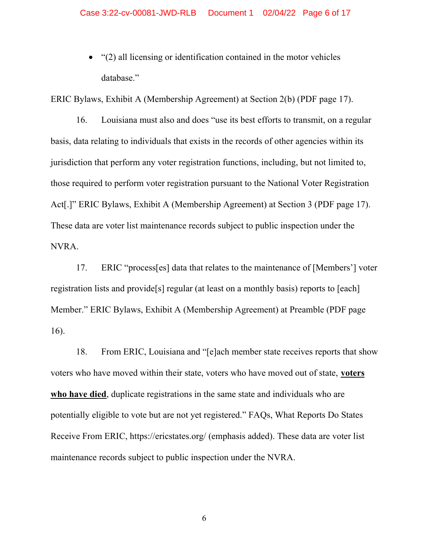$\bullet$  "(2) all licensing or identification contained in the motor vehicles database."

ERIC Bylaws, Exhibit A (Membership Agreement) at Section 2(b) (PDF page 17).

16. Louisiana must also and does "use its best efforts to transmit, on a regular basis, data relating to individuals that exists in the records of other agencies within its jurisdiction that perform any voter registration functions, including, but not limited to, those required to perform voter registration pursuant to the National Voter Registration Act[.]" ERIC Bylaws, Exhibit A (Membership Agreement) at Section 3 (PDF page 17). These data are voter list maintenance records subject to public inspection under the NVRA.

17. ERIC "process[es] data that relates to the maintenance of [Members'] voter registration lists and provide[s] regular (at least on a monthly basis) reports to [each] Member." ERIC Bylaws, Exhibit A (Membership Agreement) at Preamble (PDF page 16).

18. From ERIC, Louisiana and "[e]ach member state receives reports that show voters who have moved within their state, voters who have moved out of state, voters who have died, duplicate registrations in the same state and individuals who are potentially eligible to vote but are not yet registered." FAQs, What Reports Do States Receive From ERIC, https://ericstates.org/ (emphasis added). These data are voter list maintenance records subject to public inspection under the NVRA.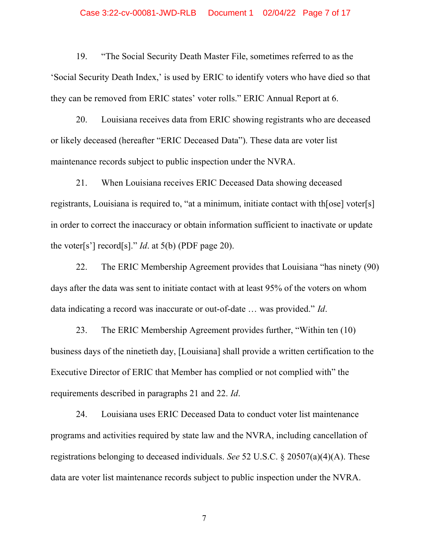#### Case 3:22-cv-00081-JWD-RLB Document 1 02/04/22 Page 7 of 17

19. "The Social Security Death Master File, sometimes referred to as the 'Social Security Death Index,' is used by ERIC to identify voters who have died so that they can be removed from ERIC states' voter rolls." ERIC Annual Report at 6.

20. Louisiana receives data from ERIC showing registrants who are deceased or likely deceased (hereafter "ERIC Deceased Data"). These data are voter list maintenance records subject to public inspection under the NVRA.

21. When Louisiana receives ERIC Deceased Data showing deceased registrants, Louisiana is required to, "at a minimum, initiate contact with th[ose] voter[s] in order to correct the inaccuracy or obtain information sufficient to inactivate or update the voter[s'] record[s]." *Id.* at 5(b) (PDF page 20).

22. The ERIC Membership Agreement provides that Louisiana "has ninety (90) days after the data was sent to initiate contact with at least 95% of the voters on whom data indicating a record was inaccurate or out-of-date … was provided." Id.

23. The ERIC Membership Agreement provides further, "Within ten (10) business days of the ninetieth day, [Louisiana] shall provide a written certification to the Executive Director of ERIC that Member has complied or not complied with" the requirements described in paragraphs 21 and 22. Id.

24. Louisiana uses ERIC Deceased Data to conduct voter list maintenance programs and activities required by state law and the NVRA, including cancellation of registrations belonging to deceased individuals. See 52 U.S.C. § 20507(a)(4)(A). These data are voter list maintenance records subject to public inspection under the NVRA.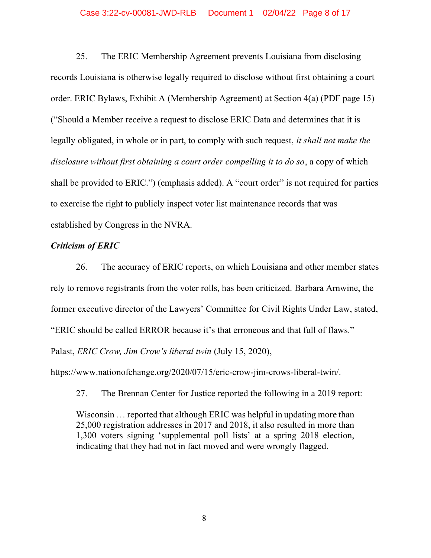#### Case 3:22-cv-00081-JWD-RLB Document 1 02/04/22 Page 8 of 17

25. The ERIC Membership Agreement prevents Louisiana from disclosing records Louisiana is otherwise legally required to disclose without first obtaining a court order. ERIC Bylaws, Exhibit A (Membership Agreement) at Section 4(a) (PDF page 15) ("Should a Member receive a request to disclose ERIC Data and determines that it is legally obligated, in whole or in part, to comply with such request, it shall not make the disclosure without first obtaining a court order compelling it to do so, a copy of which shall be provided to ERIC.") (emphasis added). A "court order" is not required for parties to exercise the right to publicly inspect voter list maintenance records that was established by Congress in the NVRA.

#### Criticism of ERIC

26. The accuracy of ERIC reports, on which Louisiana and other member states rely to remove registrants from the voter rolls, has been criticized. Barbara Arnwine, the former executive director of the Lawyers' Committee for Civil Rights Under Law, stated, "ERIC should be called ERROR because it's that erroneous and that full of flaws." Palast, ERIC Crow, Jim Crow's liberal twin (July 15, 2020),

https://www.nationofchange.org/2020/07/15/eric-crow-jim-crows-liberal-twin/.

27. The Brennan Center for Justice reported the following in a 2019 report:

Wisconsin … reported that although ERIC was helpful in updating more than 25,000 registration addresses in 2017 and 2018, it also resulted in more than 1,300 voters signing 'supplemental poll lists' at a spring 2018 election, indicating that they had not in fact moved and were wrongly flagged.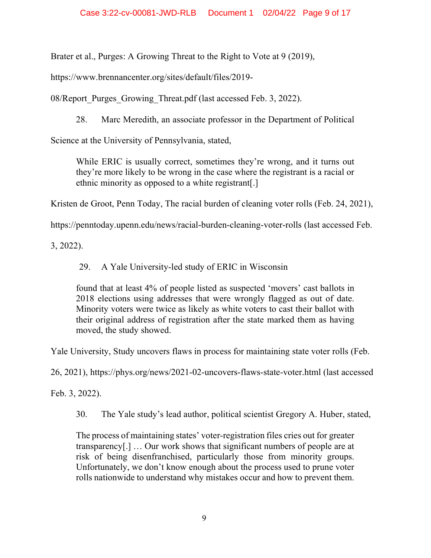Brater et al., Purges: A Growing Threat to the Right to Vote at 9 (2019),

https://www.brennancenter.org/sites/default/files/2019-

08/Report Purges Growing Threat.pdf (last accessed Feb. 3, 2022).

28. Marc Meredith, an associate professor in the Department of Political

Science at the University of Pennsylvania, stated,

While ERIC is usually correct, sometimes they're wrong, and it turns out they're more likely to be wrong in the case where the registrant is a racial or ethnic minority as opposed to a white registrant[.]

Kristen de Groot, Penn Today, The racial burden of cleaning voter rolls (Feb. 24, 2021),

https://penntoday.upenn.edu/news/racial-burden-cleaning-voter-rolls (last accessed Feb.

3, 2022).

29. A Yale University-led study of ERIC in Wisconsin

found that at least 4% of people listed as suspected 'movers' cast ballots in 2018 elections using addresses that were wrongly flagged as out of date. Minority voters were twice as likely as white voters to cast their ballot with their original address of registration after the state marked them as having moved, the study showed.

Yale University, Study uncovers flaws in process for maintaining state voter rolls (Feb.

26, 2021), https://phys.org/news/2021-02-uncovers-flaws-state-voter.html (last accessed

Feb. 3, 2022).

30. The Yale study's lead author, political scientist Gregory A. Huber, stated,

The process of maintaining states' voter-registration files cries out for greater transparency[.] … Our work shows that significant numbers of people are at risk of being disenfranchised, particularly those from minority groups. Unfortunately, we don't know enough about the process used to prune voter rolls nationwide to understand why mistakes occur and how to prevent them.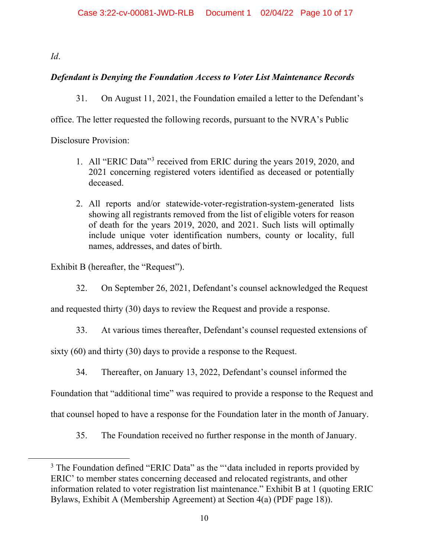Id.

# Defendant is Denying the Foundation Access to Voter List Maintenance Records

31. On August 11, 2021, the Foundation emailed a letter to the Defendant's

office. The letter requested the following records, pursuant to the NVRA's Public

Disclosure Provision:

- 1. All "ERIC Data"<sup>3</sup> received from ERIC during the years 2019, 2020, and 2021 concerning registered voters identified as deceased or potentially deceased.
- 2. All reports and/or statewide-voter-registration-system-generated lists showing all registrants removed from the list of eligible voters for reason of death for the years 2019, 2020, and 2021. Such lists will optimally include unique voter identification numbers, county or locality, full names, addresses, and dates of birth.

Exhibit B (hereafter, the "Request").

32. On September 26, 2021, Defendant's counsel acknowledged the Request

and requested thirty (30) days to review the Request and provide a response.

33. At various times thereafter, Defendant's counsel requested extensions of

sixty (60) and thirty (30) days to provide a response to the Request.

34. Thereafter, on January 13, 2022, Defendant's counsel informed the

Foundation that "additional time" was required to provide a response to the Request and

that counsel hoped to have a response for the Foundation later in the month of January.

35. The Foundation received no further response in the month of January.

<sup>&</sup>lt;sup>3</sup> The Foundation defined "ERIC Data" as the "'data included in reports provided by ERIC' to member states concerning deceased and relocated registrants, and other information related to voter registration list maintenance." Exhibit B at 1 (quoting ERIC Bylaws, Exhibit A (Membership Agreement) at Section 4(a) (PDF page 18)).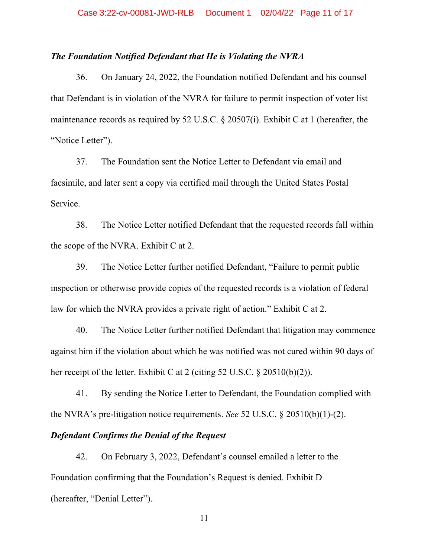#### The Foundation Notified Defendant that He is Violating the NVRA

36. On January 24, 2022, the Foundation notified Defendant and his counsel that Defendant is in violation of the NVRA for failure to permit inspection of voter list maintenance records as required by 52 U.S.C. § 20507(i). Exhibit C at 1 (hereafter, the "Notice Letter").

37. The Foundation sent the Notice Letter to Defendant via email and facsimile, and later sent a copy via certified mail through the United States Postal Service.

38. The Notice Letter notified Defendant that the requested records fall within the scope of the NVRA. Exhibit C at 2.

39. The Notice Letter further notified Defendant, "Failure to permit public inspection or otherwise provide copies of the requested records is a violation of federal law for which the NVRA provides a private right of action." Exhibit C at 2.

40. The Notice Letter further notified Defendant that litigation may commence against him if the violation about which he was notified was not cured within 90 days of her receipt of the letter. Exhibit C at 2 (citing 52 U.S.C. § 20510(b)(2)).

41. By sending the Notice Letter to Defendant, the Foundation complied with the NVRA's pre-litigation notice requirements. See 52 U.S.C.  $\S 20510(b)(1)-(2)$ .

### Defendant Confirms the Denial of the Request

42. On February 3, 2022, Defendant's counsel emailed a letter to the Foundation confirming that the Foundation's Request is denied. Exhibit D (hereafter, "Denial Letter").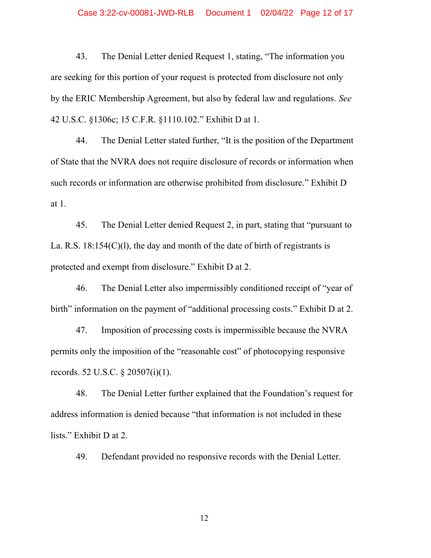43. The Denial Letter denied Request 1, stating, "The information you are seeking for this portion of your request is protected from disclosure not only by the ERIC Membership Agreement, but also by federal law and regulations. See 42 U.S.C. §1306c; 15 C.F.R. §1110.102." Exhibit D at 1.

44. The Denial Letter stated further, "It is the position of the Department of State that the NVRA does not require disclosure of records or information when such records or information are otherwise prohibited from disclosure." Exhibit D at 1.

45. The Denial Letter denied Request 2, in part, stating that "pursuant to La. R.S.  $18:154(C)(1)$ , the day and month of the date of birth of registrants is protected and exempt from disclosure." Exhibit D at 2.

46. The Denial Letter also impermissibly conditioned receipt of "year of birth" information on the payment of "additional processing costs." Exhibit D at 2.

47. Imposition of processing costs is impermissible because the NVRA permits only the imposition of the "reasonable cost" of photocopying responsive records. 52 U.S.C. § 20507(i)(1).

48. The Denial Letter further explained that the Foundation's request for address information is denied because "that information is not included in these lists." Exhibit D at 2.

49. Defendant provided no responsive records with the Denial Letter.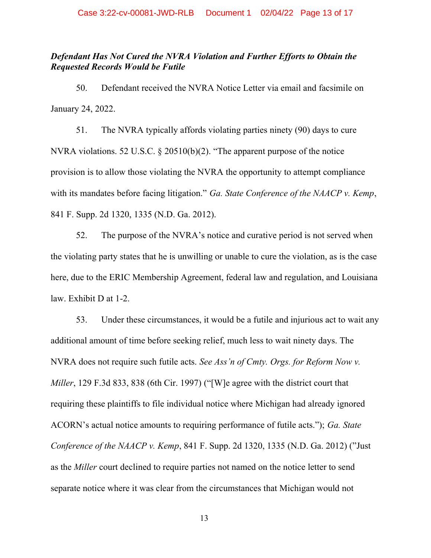### Defendant Has Not Cured the NVRA Violation and Further Efforts to Obtain the Requested Records Would be Futile

50. Defendant received the NVRA Notice Letter via email and facsimile on January 24, 2022.

51. The NVRA typically affords violating parties ninety (90) days to cure NVRA violations. 52 U.S.C. § 20510(b)(2). "The apparent purpose of the notice provision is to allow those violating the NVRA the opportunity to attempt compliance with its mandates before facing litigation." Ga. State Conference of the NAACP v. Kemp, 841 F. Supp. 2d 1320, 1335 (N.D. Ga. 2012).

52. The purpose of the NVRA's notice and curative period is not served when the violating party states that he is unwilling or unable to cure the violation, as is the case here, due to the ERIC Membership Agreement, federal law and regulation, and Louisiana law. Exhibit D at 1-2.

53. Under these circumstances, it would be a futile and injurious act to wait any additional amount of time before seeking relief, much less to wait ninety days. The NVRA does not require such futile acts. See Ass'n of Cmty. Orgs. for Reform Now v. Miller, 129 F.3d 833, 838 (6th Cir. 1997) ("[W]e agree with the district court that requiring these plaintiffs to file individual notice where Michigan had already ignored ACORN's actual notice amounts to requiring performance of futile acts."); Ga. State Conference of the NAACP v. Kemp, 841 F. Supp. 2d 1320, 1335 (N.D. Ga. 2012) ("Just as the Miller court declined to require parties not named on the notice letter to send separate notice where it was clear from the circumstances that Michigan would not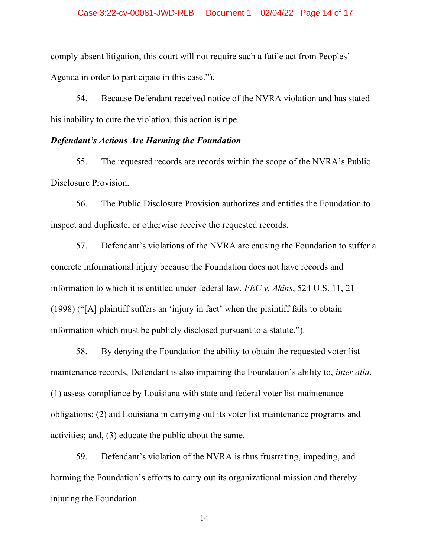comply absent litigation, this court will not require such a futile act from Peoples' Agenda in order to participate in this case.").

54. Because Defendant received notice of the NVRA violation and has stated his inability to cure the violation, this action is ripe.

#### Defendant's Actions Are Harming the Foundation

55. The requested records are records within the scope of the NVRA's Public Disclosure Provision.

56. The Public Disclosure Provision authorizes and entitles the Foundation to inspect and duplicate, or otherwise receive the requested records.

57. Defendant's violations of the NVRA are causing the Foundation to suffer a concrete informational injury because the Foundation does not have records and information to which it is entitled under federal law. FEC v. Akins, 524 U.S. 11, 21 (1998) ("[A] plaintiff suffers an 'injury in fact' when the plaintiff fails to obtain information which must be publicly disclosed pursuant to a statute.").

58. By denying the Foundation the ability to obtain the requested voter list maintenance records, Defendant is also impairing the Foundation's ability to, *inter alia*, (1) assess compliance by Louisiana with state and federal voter list maintenance obligations; (2) aid Louisiana in carrying out its voter list maintenance programs and activities; and, (3) educate the public about the same.

59. Defendant's violation of the NVRA is thus frustrating, impeding, and harming the Foundation's efforts to carry out its organizational mission and thereby injuring the Foundation.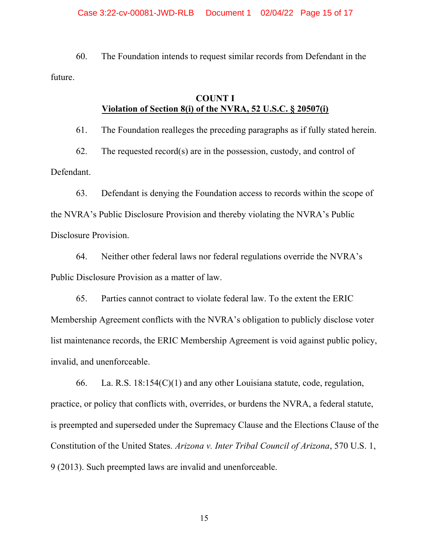60. The Foundation intends to request similar records from Defendant in the future.

#### COUNT I

# Violation of Section 8(i) of the NVRA, 52 U.S.C. § 20507(i)

61. The Foundation realleges the preceding paragraphs as if fully stated herein.

62. The requested record(s) are in the possession, custody, and control of Defendant.

63. Defendant is denying the Foundation access to records within the scope of the NVRA's Public Disclosure Provision and thereby violating the NVRA's Public Disclosure Provision.

64. Neither other federal laws nor federal regulations override the NVRA's Public Disclosure Provision as a matter of law.

65. Parties cannot contract to violate federal law. To the extent the ERIC Membership Agreement conflicts with the NVRA's obligation to publicly disclose voter list maintenance records, the ERIC Membership Agreement is void against public policy, invalid, and unenforceable.

66. La. R.S. 18:154(C)(1) and any other Louisiana statute, code, regulation, practice, or policy that conflicts with, overrides, or burdens the NVRA, a federal statute, is preempted and superseded under the Supremacy Clause and the Elections Clause of the Constitution of the United States. Arizona v. Inter Tribal Council of Arizona, 570 U.S. 1, 9 (2013). Such preempted laws are invalid and unenforceable.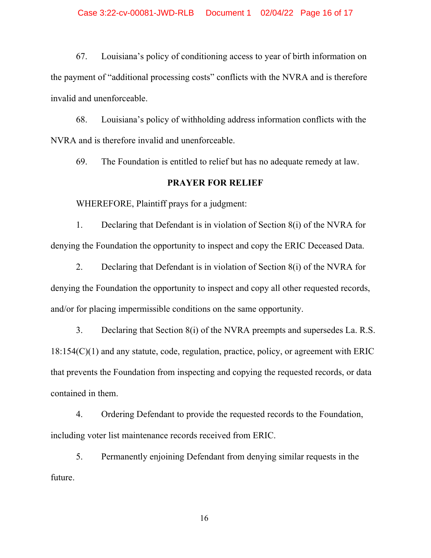67. Louisiana's policy of conditioning access to year of birth information on the payment of "additional processing costs" conflicts with the NVRA and is therefore invalid and unenforceable.

68. Louisiana's policy of withholding address information conflicts with the NVRA and is therefore invalid and unenforceable.

69. The Foundation is entitled to relief but has no adequate remedy at law.

#### PRAYER FOR RELIEF

WHEREFORE, Plaintiff prays for a judgment:

1. Declaring that Defendant is in violation of Section 8(i) of the NVRA for denying the Foundation the opportunity to inspect and copy the ERIC Deceased Data.

2. Declaring that Defendant is in violation of Section 8(i) of the NVRA for denying the Foundation the opportunity to inspect and copy all other requested records, and/or for placing impermissible conditions on the same opportunity.

3. Declaring that Section 8(i) of the NVRA preempts and supersedes La. R.S.  $18:154(C)(1)$  and any statute, code, regulation, practice, policy, or agreement with ERIC that prevents the Foundation from inspecting and copying the requested records, or data contained in them.

4. Ordering Defendant to provide the requested records to the Foundation, including voter list maintenance records received from ERIC.

5. Permanently enjoining Defendant from denying similar requests in the future.